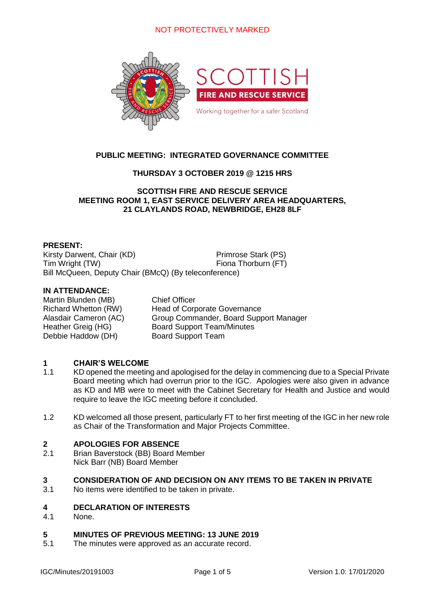# NOT PROTECTIVELY MARKED



# **PUBLIC MEETING: INTEGRATED GOVERNANCE COMMITTEE**

# **THURSDAY 3 OCTOBER 2019 @ 1215 HRS**

## **SCOTTISH FIRE AND RESCUE SERVICE MEETING ROOM 1, EAST SERVICE DELIVERY AREA HEADQUARTERS, 21 CLAYLANDS ROAD, NEWBRIDGE, EH28 8LF**

## **PRESENT:**

Kirsty Darwent, Chair (KD) Primrose Stark (PS) Tim Wright (TW) Fiona Thorburn (FT) Bill McQueen, Deputy Chair (BMcQ) (By teleconference)

## **IN ATTENDANCE:**

Martin Blunden (MB) Chief Officer Debbie Haddow (DH) Board Support Team

Richard Whetton (RW) Head of Corporate Governance Alasdair Cameron (AC) Group Commander, Board Support Manager Heather Greig (HG) Board Support Team/Minutes

### **1 CHAIR'S WELCOME**

- 1.1 KD opened the meeting and apologised for the delay in commencing due to a Special Private Board meeting which had overrun prior to the IGC. Apologies were also given in advance as KD and MB were to meet with the Cabinet Secretary for Health and Justice and would require to leave the IGC meeting before it concluded.
- 1.2 KD welcomed all those present, particularly FT to her first meeting of the IGC in her new role as Chair of the Transformation and Major Projects Committee.

### **2 APOLOGIES FOR ABSENCE**

2.1 Brian Baverstock (BB) Board Member Nick Barr (NB) Board Member

### **3 CONSIDERATION OF AND DECISION ON ANY ITEMS TO BE TAKEN IN PRIVATE**

3.1 No items were identified to be taken in private.

### **4 DECLARATION OF INTERESTS**

4.1 None.

### **5 MINUTES OF PREVIOUS MEETING: 13 JUNE 2019**

5.1 The minutes were approved as an accurate record.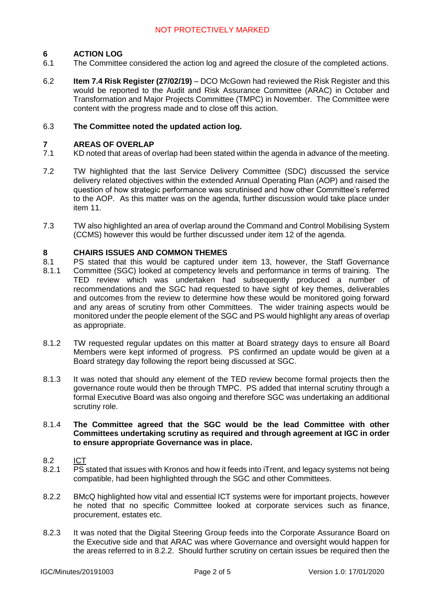### **6 ACTION LOG**

- 6.1 The Committee considered the action log and agreed the closure of the completed actions.
- 6.2 **Item 7.4 Risk Register (27/02/19)** – DCO McGown had reviewed the Risk Register and this would be reported to the Audit and Risk Assurance Committee (ARAC) in October and Transformation and Major Projects Committee (TMPC) in November. The Committee were content with the progress made and to close off this action.

### 6.3 **The Committee noted the updated action log.**

### **7 AREAS OF OVERLAP**

- 7.1 KD noted that areas of overlap had been stated within the agenda in advance of the meeting.
- 7.2 TW highlighted that the last Service Delivery Committee (SDC) discussed the service delivery related objectives within the extended Annual Operating Plan (AOP) and raised the question of how strategic performance was scrutinised and how other Committee's referred to the AOP. As this matter was on the agenda, further discussion would take place under item 11.
- 7.3 TW also highlighted an area of overlap around the Command and Control Mobilising System (CCMS) however this would be further discussed under item 12 of the agenda.

### **8 CHAIRS ISSUES AND COMMON THEMES**

- 8.1 PS stated that this would be captured under item 13, however, the Staff Governance
- 8.1.1 Committee (SGC) looked at competency levels and performance in terms of training. The TED review which was undertaken had subsequently produced a number of recommendations and the SGC had requested to have sight of key themes, deliverables and outcomes from the review to determine how these would be monitored going forward and any areas of scrutiny from other Committees. The wider training aspects would be monitored under the people element of the SGC and PS would highlight any areas of overlap as appropriate.
- 8.1.2 TW requested regular updates on this matter at Board strategy days to ensure all Board Members were kept informed of progress. PS confirmed an update would be given at a Board strategy day following the report being discussed at SGC.
- 8.1.3 It was noted that should any element of the TED review become formal projects then the governance route would then be through TMPC. PS added that internal scrutiny through a formal Executive Board was also ongoing and therefore SGC was undertaking an additional scrutiny role.

### 8.1.4 **The Committee agreed that the SGC would be the lead Committee with other Committees undertaking scrutiny as required and through agreement at IGC in order to ensure appropriate Governance was in place.**

- 8.2 ICT
- 8.2.1 PS stated that issues with Kronos and how it feeds into iTrent, and legacy systems not being compatible, had been highlighted through the SGC and other Committees.
- 8.2.2 BMcQ highlighted how vital and essential ICT systems were for important projects, however he noted that no specific Committee looked at corporate services such as finance, procurement, estates etc.
- 8.2.3 It was noted that the Digital Steering Group feeds into the Corporate Assurance Board on the Executive side and that ARAC was where Governance and oversight would happen for the areas referred to in 8.2.2. Should further scrutiny on certain issues be required then the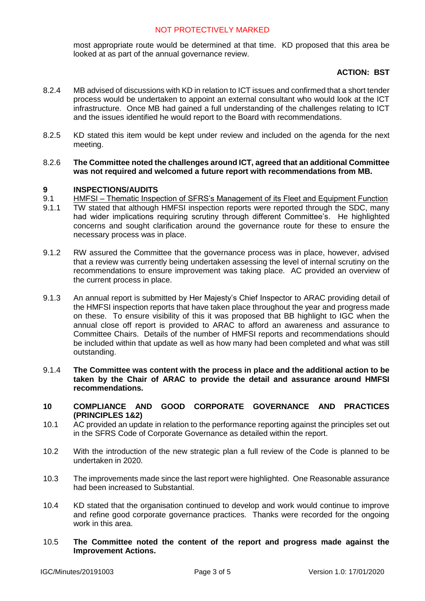most appropriate route would be determined at that time. KD proposed that this area be looked at as part of the annual governance review.

# **ACTION: BST**

- 8.2.4 MB advised of discussions with KD in relation to ICT issues and confirmed that a short tender process would be undertaken to appoint an external consultant who would look at the ICT infrastructure. Once MB had gained a full understanding of the challenges relating to ICT and the issues identified he would report to the Board with recommendations.
- 8.2.5 KD stated this item would be kept under review and included on the agenda for the next meeting.
- 8.2.6 **The Committee noted the challenges around ICT, agreed that an additional Committee was not required and welcomed a future report with recommendations from MB.**

### **9 INSPECTIONS/AUDITS**

- 9.1 HMFSI – [Thematic Inspection of SFRS's Management of its Fleet and Equipment Function](https://www2.gov.scot/Resource/0054/00547393.pdf)
- 9.1.1 TW stated that although HMFSI inspection reports were reported through the SDC, many had wider implications requiring scrutiny through different Committee's. He highlighted concerns and sought clarification around the governance route for these to ensure the necessary process was in place.
- 9.1.2 RW assured the Committee that the governance process was in place, however, advised that a review was currently being undertaken assessing the level of internal scrutiny on the recommendations to ensure improvement was taking place. AC provided an overview of the current process in place.
- 9.1.3 An annual report is submitted by Her Majesty's Chief Inspector to ARAC providing detail of the HMFSI inspection reports that have taken place throughout the year and progress made on these. To ensure visibility of this it was proposed that BB highlight to IGC when the annual close off report is provided to ARAC to afford an awareness and assurance to Committee Chairs. Details of the number of HMFSI reports and recommendations should be included within that update as well as how many had been completed and what was still outstanding.
- 9.1.4 **The Committee was content with the process in place and the additional action to be taken by the Chair of ARAC to provide the detail and assurance around HMFSI recommendations.**
- **10 COMPLIANCE AND GOOD CORPORATE GOVERNANCE AND PRACTICES (PRINCIPLES 1&2)**
- 10.1 AC provided an update in relation to the performance reporting against the principles set out in the SFRS Code of Corporate Governance as detailed within the report.
- 10.2 With the introduction of the new strategic plan a full review of the Code is planned to be undertaken in 2020.
- 10.3 The improvements made since the last report were highlighted. One Reasonable assurance had been increased to Substantial.
- 10.4 KD stated that the organisation continued to develop and work would continue to improve and refine good corporate governance practices. Thanks were recorded for the ongoing work in this area.
- 10.5 **The Committee noted the content of the report and progress made against the Improvement Actions.**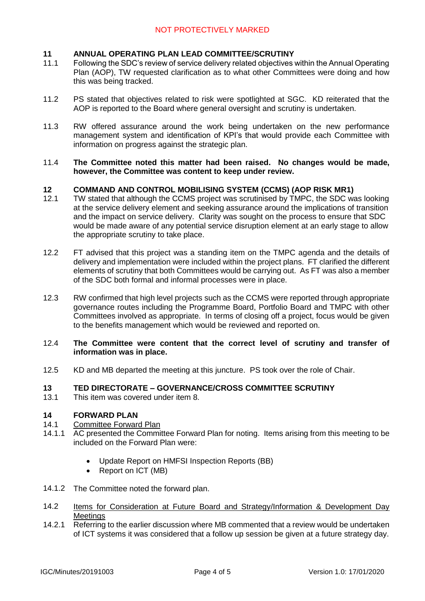### **11 ANNUAL OPERATING PLAN LEAD COMMITTEE/SCRUTINY**

- 11.1 Following the SDC's review of service delivery related objectives within the Annual Operating Plan (AOP), TW requested clarification as to what other Committees were doing and how this was being tracked.
- 11.2 PS stated that objectives related to risk were spotlighted at SGC. KD reiterated that the AOP is reported to the Board where general oversight and scrutiny is undertaken.
- 11.3 RW offered assurance around the work being undertaken on the new performance management system and identification of KPI's that would provide each Committee with information on progress against the strategic plan.
- 11.4 **The Committee noted this matter had been raised. No changes would be made, however, the Committee was content to keep under review.**

### **12 COMMAND AND CONTROL MOBILISING SYSTEM (CCMS) (AOP RISK MR1)**

- 12.1 TW stated that although the CCMS project was scrutinised by TMPC, the SDC was looking at the service delivery element and seeking assurance around the implications of transition and the impact on service delivery. Clarity was sought on the process to ensure that SDC would be made aware of any potential service disruption element at an early stage to allow the appropriate scrutiny to take place.
- 12.2 FT advised that this project was a standing item on the TMPC agenda and the details of delivery and implementation were included within the project plans. FT clarified the different elements of scrutiny that both Committees would be carrying out. As FT was also a member of the SDC both formal and informal processes were in place.
- 12.3 RW confirmed that high level projects such as the CCMS were reported through appropriate governance routes including the Programme Board, Portfolio Board and TMPC with other Committees involved as appropriate. In terms of closing off a project, focus would be given to the benefits management which would be reviewed and reported on.

### 12.4 **The Committee were content that the correct level of scrutiny and transfer of information was in place.**

12.5 KD and MB departed the meeting at this juncture. PS took over the role of Chair.

### **13 TED DIRECTORATE – GOVERNANCE/CROSS COMMITTEE SCRUTINY**

13.1 This item was covered under item 8.

### **14 FORWARD PLAN**

#### 14.1 Committee Forward Plan

- 14.1.1 AC presented the Committee Forward Plan for noting. Items arising from this meeting to be included on the Forward Plan were:
	- Update Report on HMFSI Inspection Reports (BB)
	- Report on ICT (MB)
- 14.1.2 The Committee noted the forward plan.
- 14.2 Items for Consideration at Future Board and Strategy/Information & Development Day **Meetings**
- 14.2.1 Referring to the earlier discussion where MB commented that a review would be undertaken of ICT systems it was considered that a follow up session be given at a future strategy day.